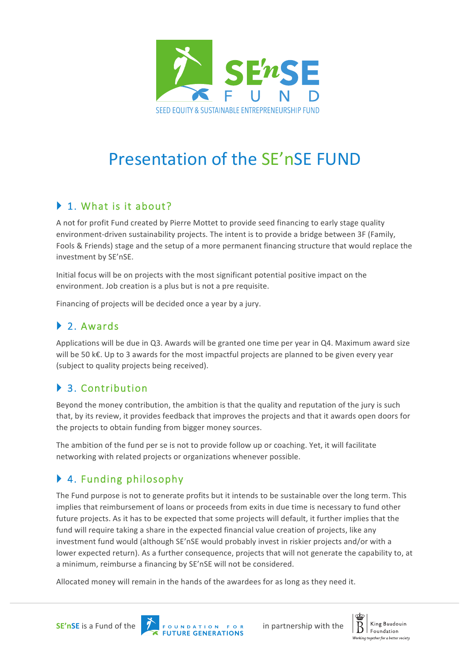

# Presentation of the SE'nSE FUND

# ▶ 1. What is it about?

A not for profit Fund created by Pierre Mottet to provide seed financing to early stage quality environment-driven sustainability projects. The intent is to provide a bridge between 3F (Family, Fools & Friends) stage and the setup of a more permanent financing structure that would replace the investment by SE'nSE.

Initial focus will be on projects with the most significant potential positive impact on the environment. Job creation is a plus but is not a pre requisite.

Financing of projects will be decided once a year by a jury.

### ▶ 2. Awards

Applications will be due in Q3. Awards will be granted one time per year in Q4. Maximum award size will be 50  $k\epsilon$ . Up to 3 awards for the most impactful projects are planned to be given every year (subject to quality projects being received).

# ▶ 3. Contribution

Beyond the money contribution, the ambition is that the quality and reputation of the jury is such that, by its review, it provides feedback that improves the projects and that it awards open doors for the projects to obtain funding from bigger money sources.

The ambition of the fund per se is not to provide follow up or coaching. Yet, it will facilitate networking with related projects or organizations whenever possible.

# ▶ 4. Funding philosophy

The Fund purpose is not to generate profits but it intends to be sustainable over the long term. This implies that reimbursement of loans or proceeds from exits in due time is necessary to fund other future projects. As it has to be expected that some projects will default, it further implies that the fund will require taking a share in the expected financial value creation of projects, like any investment fund would (although SE'nSE would probably invest in riskier projects and/or with a lower expected return). As a further consequence, projects that will not generate the capability to, at a minimum, reimburse a financing by SE'nSE will not be considered.

Allocated money will remain in the hands of the awardees for as long as they need it.





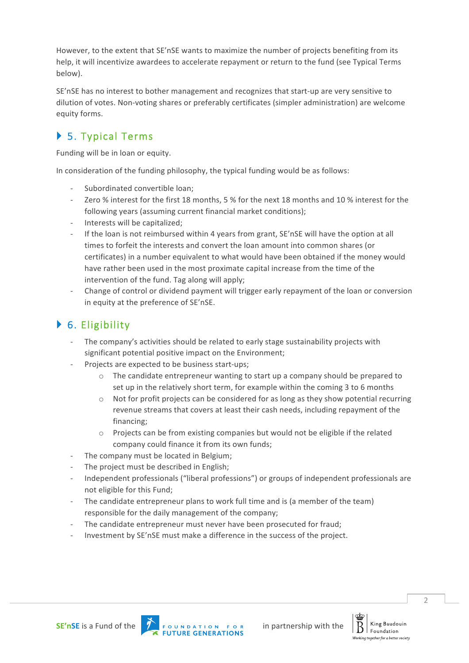However, to the extent that SE'nSE wants to maximize the number of projects benefiting from its help, it will incentivize awardees to accelerate repayment or return to the fund (see Typical Terms below).

SE'nSE has no interest to bother management and recognizes that start-up are very sensitive to dilution of votes. Non-voting shares or preferably certificates (simpler administration) are welcome equity forms.

# ▶ 5. Typical Terms

Funding will be in loan or equity.

In consideration of the funding philosophy, the typical funding would be as follows:

- Subordinated convertible loan;
- Zero % interest for the first 18 months, 5 % for the next 18 months and 10 % interest for the following years (assuming current financial market conditions);
- Interests will be capitalized;
- If the loan is not reimbursed within 4 years from grant, SE'nSE will have the option at all times to forfeit the interests and convert the loan amount into common shares (or certificates) in a number equivalent to what would have been obtained if the money would have rather been used in the most proximate capital increase from the time of the intervention of the fund. Tag along will apply;
- Change of control or dividend payment will trigger early repayment of the loan or conversion in equity at the preference of SE'nSE.

# $\blacktriangleright$  6. Eligibility

- The company's activities should be related to early stage sustainability projects with significant potential positive impact on the Environment;
- Projects are expected to be business start-ups;
	- $\circ$  The candidate entrepreneur wanting to start up a company should be prepared to set up in the relatively short term, for example within the coming 3 to 6 months
	- $\circ$  Not for profit projects can be considered for as long as they show potential recurring revenue streams that covers at least their cash needs, including repayment of the financing;
	- $\circ$  Projects can be from existing companies but would not be eligible if the related company could finance it from its own funds;
- The company must be located in Belgium;
- The project must be described in English;
- Independent professionals ("liberal professions") or groups of independent professionals are not eligible for this Fund;
- The candidate entrepreneur plans to work full time and is (a member of the team) responsible for the daily management of the company;
- The candidate entrepreneur must never have been prosecuted for fraud:
- Investment by SE'nSE must make a difference in the success of the project.

 $\overline{\mathcal{L}}$